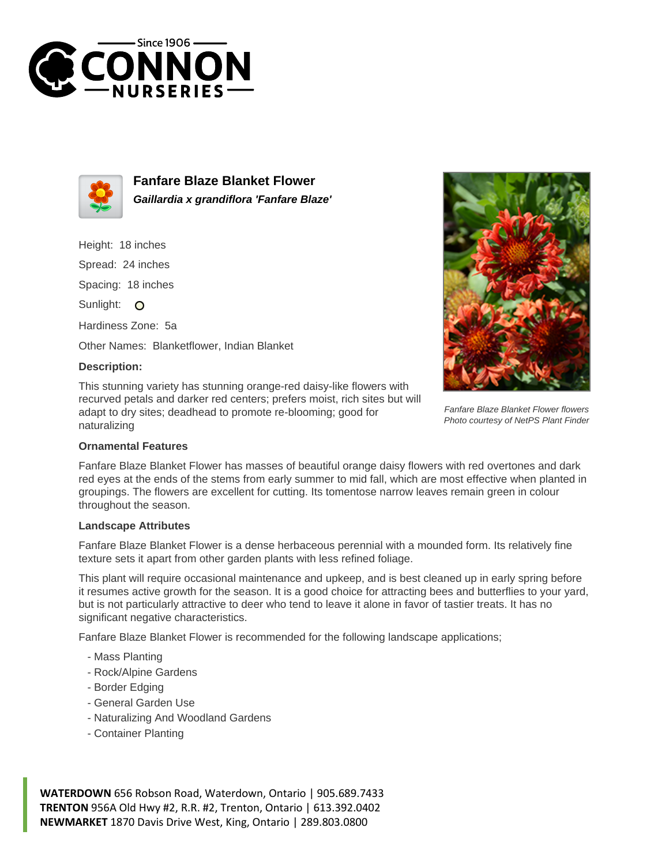



**Fanfare Blaze Blanket Flower Gaillardia x grandiflora 'Fanfare Blaze'**

Height: 18 inches

Spread: 24 inches

Spacing: 18 inches

Sunlight: O

Hardiness Zone: 5a

Other Names: Blanketflower, Indian Blanket

## **Description:**

This stunning variety has stunning orange-red daisy-like flowers with recurved petals and darker red centers; prefers moist, rich sites but will adapt to dry sites; deadhead to promote re-blooming; good for naturalizing



Fanfare Blaze Blanket Flower has masses of beautiful orange daisy flowers with red overtones and dark red eyes at the ends of the stems from early summer to mid fall, which are most effective when planted in groupings. The flowers are excellent for cutting. Its tomentose narrow leaves remain green in colour throughout the season.

## **Landscape Attributes**

Fanfare Blaze Blanket Flower is a dense herbaceous perennial with a mounded form. Its relatively fine texture sets it apart from other garden plants with less refined foliage.

This plant will require occasional maintenance and upkeep, and is best cleaned up in early spring before it resumes active growth for the season. It is a good choice for attracting bees and butterflies to your yard, but is not particularly attractive to deer who tend to leave it alone in favor of tastier treats. It has no significant negative characteristics.

Fanfare Blaze Blanket Flower is recommended for the following landscape applications;

- Mass Planting
- Rock/Alpine Gardens
- Border Edging
- General Garden Use
- Naturalizing And Woodland Gardens
- Container Planting

**WATERDOWN** 656 Robson Road, Waterdown, Ontario | 905.689.7433 **TRENTON** 956A Old Hwy #2, R.R. #2, Trenton, Ontario | 613.392.0402 **NEWMARKET** 1870 Davis Drive West, King, Ontario | 289.803.0800



Fanfare Blaze Blanket Flower flowers Photo courtesy of NetPS Plant Finder